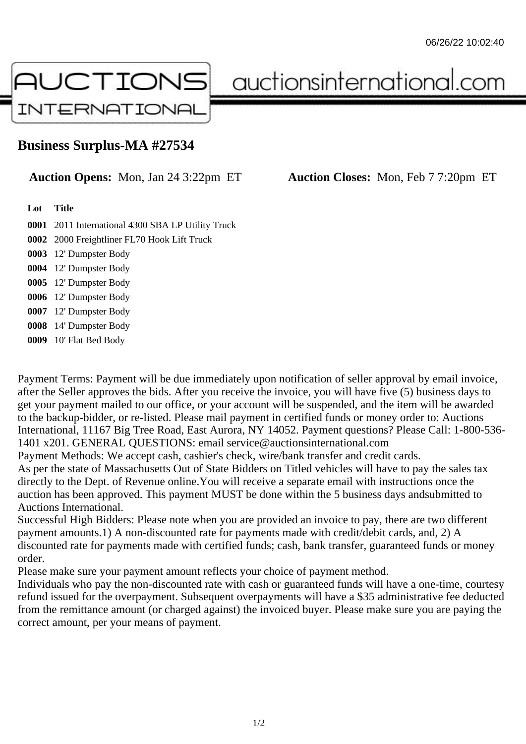

auctionsinternational.com

## **Business Surplus-MA #27534**

**Auction Opens:** Mon, Jan 24 3:22pm ET **Auction Closes:** Mon, Feb 7 7:20pm ET

## **Lot Title**

 2011 International 4300 SBA LP Utility Truck 2000 Freightliner FL70 Hook Lift Truck 12' Dumpster Body 12' Dumpster Body 12' Dumpster Body

**0006** 12' Dumpster Body

**0007** 12' Dumpster Body

**0008** 14' Dumpster Body

**0009** 10' Flat Bed Body

Payment Terms: Payment will be due immediately upon notification of seller approval by email invoice, after the Seller approves the bids. After you receive the invoice, you will have five (5) business days to get your payment mailed to our office, or your account will be suspended, and the item will be awarded to the backup-bidder, or re-listed. Please mail payment in certified funds or money order to: Auctions International, 11167 Big Tree Road, East Aurora, NY 14052. Payment questions? Please Call: 1-800-536- 1401 x201. GENERAL QUESTIONS: email service@auctionsinternational.com Payment Methods: We accept cash, cashier's check, wire/bank transfer and credit cards. As per the state of Massachusetts Out of State Bidders on Titled vehicles will have to pay the sales tax

directly to the Dept. of Revenue online.You will receive a separate email with instructions once the auction has been approved. This payment MUST be done within the 5 business days andsubmitted to Auctions International.

Successful High Bidders: Please note when you are provided an invoice to pay, there are two different payment amounts.1) A non-discounted rate for payments made with credit/debit cards, and, 2) A discounted rate for payments made with certified funds; cash, bank transfer, guaranteed funds or money order.

Please make sure your payment amount reflects your choice of payment method.

Individuals who pay the non-discounted rate with cash or guaranteed funds will have a one-time, courtesy refund issued for the overpayment. Subsequent overpayments will have a \$35 administrative fee deducted from the remittance amount (or charged against) the invoiced buyer. Please make sure you are paying the correct amount, per your means of payment.